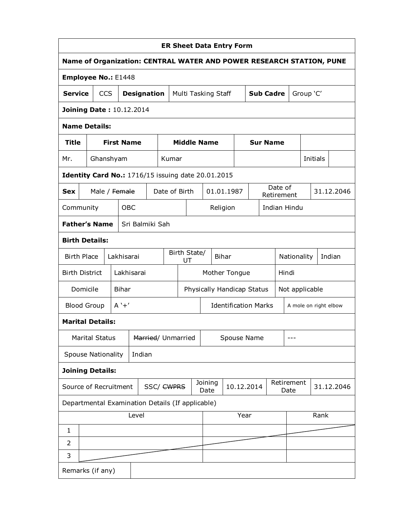| <b>ER Sheet Data Entry Form</b>                                      |                                 |                                                           |                   |                    |  |                       |                                   |  |                             |                     |            |                 |                  |                       |           |  |          |            |
|----------------------------------------------------------------------|---------------------------------|-----------------------------------------------------------|-------------------|--------------------|--|-----------------------|-----------------------------------|--|-----------------------------|---------------------|------------|-----------------|------------------|-----------------------|-----------|--|----------|------------|
| Name of Organization: CENTRAL WATER AND POWER RESEARCH STATION, PUNE |                                 |                                                           |                   |                    |  |                       |                                   |  |                             |                     |            |                 |                  |                       |           |  |          |            |
| Employee No.: E1448                                                  |                                 |                                                           |                   |                    |  |                       |                                   |  |                             |                     |            |                 |                  |                       |           |  |          |            |
| <b>Service</b>                                                       |                                 | <b>CCS</b>                                                |                   | <b>Designation</b> |  |                       |                                   |  |                             | Multi Tasking Staff |            |                 | <b>Sub Cadre</b> |                       | Group 'C' |  |          |            |
|                                                                      | <b>Joining Date: 10.12.2014</b> |                                                           |                   |                    |  |                       |                                   |  |                             |                     |            |                 |                  |                       |           |  |          |            |
|                                                                      |                                 | <b>Name Details:</b>                                      |                   |                    |  |                       |                                   |  |                             |                     |            |                 |                  |                       |           |  |          |            |
| <b>Title</b>                                                         |                                 |                                                           | <b>First Name</b> |                    |  |                       |                                   |  | <b>Middle Name</b>          |                     |            | <b>Sur Name</b> |                  |                       |           |  |          |            |
| Mr.                                                                  |                                 | Ghanshyam                                                 |                   |                    |  | Kumar                 |                                   |  |                             |                     |            |                 |                  |                       |           |  | Initials |            |
|                                                                      |                                 | <b>Identity Card No.: 1716/15 issuing date 20.01.2015</b> |                   |                    |  |                       |                                   |  |                             |                     |            |                 |                  |                       |           |  |          |            |
| <b>Sex</b>                                                           |                                 | Male / Female                                             |                   |                    |  | Date of Birth         |                                   |  |                             | 01.01.1987          |            |                 |                  | Date of<br>Retirement |           |  |          | 31.12.2046 |
| Community                                                            |                                 |                                                           | <b>OBC</b>        |                    |  |                       |                                   |  |                             | Religion            |            |                 |                  | Indian Hindu          |           |  |          |            |
|                                                                      |                                 | <b>Father's Name</b>                                      |                   | Sri Balmiki Sah    |  |                       |                                   |  |                             |                     |            |                 |                  |                       |           |  |          |            |
|                                                                      |                                 | <b>Birth Details:</b>                                     |                   |                    |  |                       |                                   |  |                             |                     |            |                 |                  |                       |           |  |          |            |
| <b>Birth Place</b>                                                   |                                 |                                                           | Lakhisarai        |                    |  | Birth State/<br>UT    |                                   |  | <b>Bihar</b>                |                     |            |                 |                  | Nationality           |           |  |          | Indian     |
| <b>Birth District</b>                                                |                                 |                                                           |                   | Lakhisarai         |  |                       | Mother Tongue                     |  |                             |                     |            | Hindi           |                  |                       |           |  |          |            |
|                                                                      | Domicile                        |                                                           | <b>Bihar</b>      |                    |  |                       | Physically Handicap Status        |  |                             |                     |            |                 | Not applicable   |                       |           |  |          |            |
|                                                                      |                                 | <b>Blood Group</b>                                        | $A' + '$          |                    |  |                       |                                   |  | <b>Identification Marks</b> |                     |            |                 |                  | A mole on right elbow |           |  |          |            |
|                                                                      |                                 | <b>Marital Details:</b>                                   |                   |                    |  |                       |                                   |  |                             |                     |            |                 |                  |                       |           |  |          |            |
|                                                                      |                                 | Marital Status                                            |                   |                    |  |                       | Married/ Unmarried<br>Spouse Name |  |                             |                     |            |                 | ---              |                       |           |  |          |            |
|                                                                      |                                 | <b>Spouse Nationality</b>                                 |                   | Indian             |  |                       |                                   |  |                             |                     |            |                 |                  |                       |           |  |          |            |
|                                                                      |                                 | <b>Joining Details:</b>                                   |                   |                    |  |                       |                                   |  |                             |                     |            |                 |                  |                       |           |  |          |            |
|                                                                      |                                 | Source of Recruitment                                     |                   |                    |  | SSC/ <del>CWPRS</del> |                                   |  | Joining<br>Date             |                     | 10.12.2014 |                 |                  | Retirement<br>Date    |           |  |          | 31.12.2046 |
|                                                                      |                                 | Departmental Examination Details (If applicable)          |                   |                    |  |                       |                                   |  |                             |                     |            |                 |                  |                       |           |  |          |            |
|                                                                      | Level                           |                                                           |                   |                    |  |                       |                                   |  |                             |                     | Year       |                 |                  |                       | Rank      |  |          |            |
| $\mathbf{1}$                                                         |                                 |                                                           |                   |                    |  |                       |                                   |  |                             |                     |            |                 |                  |                       |           |  |          |            |
| 2                                                                    |                                 |                                                           |                   |                    |  |                       |                                   |  |                             |                     |            |                 |                  |                       |           |  |          |            |
| 3                                                                    |                                 |                                                           |                   |                    |  |                       |                                   |  |                             |                     |            |                 |                  |                       |           |  |          |            |
| Remarks (if any)                                                     |                                 |                                                           |                   |                    |  |                       |                                   |  |                             |                     |            |                 |                  |                       |           |  |          |            |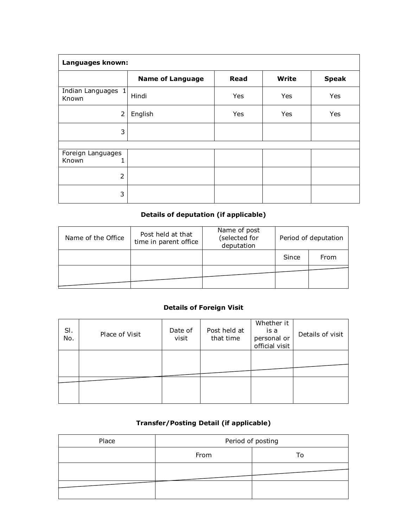| Languages known:                |                         |             |              |              |  |  |  |  |  |  |
|---------------------------------|-------------------------|-------------|--------------|--------------|--|--|--|--|--|--|
|                                 | <b>Name of Language</b> | <b>Read</b> | <b>Write</b> | <b>Speak</b> |  |  |  |  |  |  |
| Indian Languages 1<br>Known     | Hindi                   | Yes         | Yes          | Yes          |  |  |  |  |  |  |
| $\overline{2}$                  | English                 | Yes         | Yes          | Yes          |  |  |  |  |  |  |
| 3                               |                         |             |              |              |  |  |  |  |  |  |
|                                 |                         |             |              |              |  |  |  |  |  |  |
| Foreign Languages<br>Known<br>1 |                         |             |              |              |  |  |  |  |  |  |
| $\overline{2}$                  |                         |             |              |              |  |  |  |  |  |  |
| 3                               |                         |             |              |              |  |  |  |  |  |  |

## **Details of deputation (if applicable)**

| Name of the Office | Post held at that<br>time in parent office | Name of post<br>(selected for<br>deputation | Period of deputation |      |  |  |
|--------------------|--------------------------------------------|---------------------------------------------|----------------------|------|--|--|
|                    |                                            |                                             | Since                | From |  |  |
|                    |                                            |                                             |                      |      |  |  |

## **Details of Foreign Visit**

| SI.<br>No. | Place of Visit | Date of<br>visit | Post held at<br>that time | Whether it<br>is a<br>personal or<br>official visit | Details of visit |
|------------|----------------|------------------|---------------------------|-----------------------------------------------------|------------------|
|            |                |                  |                           |                                                     |                  |
|            |                |                  |                           |                                                     |                  |

## **Transfer/Posting Detail (if applicable)**

| Place |      | Period of posting |  |  |  |  |
|-------|------|-------------------|--|--|--|--|
|       | From | Т٥                |  |  |  |  |
|       |      |                   |  |  |  |  |
|       |      |                   |  |  |  |  |